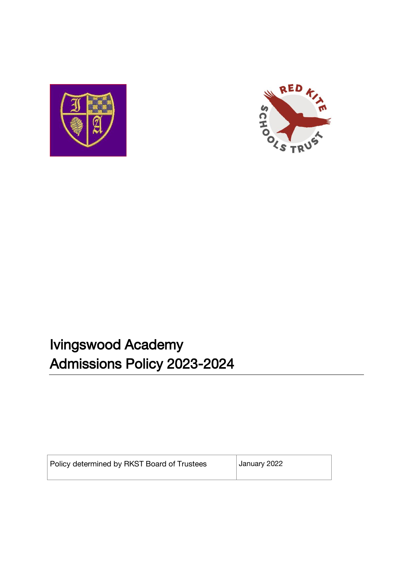



# Ivingswood Academy Admissions Policy 2023-2024

| Policy determined by RKST Board of Trustees | January 2022 |
|---------------------------------------------|--------------|
|                                             |              |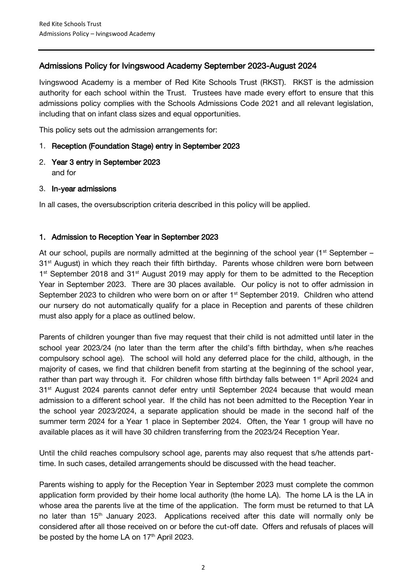# Admissions Policy for Ivingswood Academy September 2023-August 2024

Ivingswood Academy is a member of Red Kite Schools Trust (RKST). RKST is the admission authority for each school within the Trust. Trustees have made every effort to ensure that this admissions policy complies with the Schools Admissions Code 2021 and all relevant legislation, including that on infant class sizes and equal opportunities.

This policy sets out the admission arrangements for:

#### 1. Reception (Foundation Stage) entry in September 2023

- 2. Year 3 entry in September 2023 and for
- 3. In-year admissions

In all cases, the oversubscription criteria described in this policy will be applied.

## 1. Admission to Reception Year in September 2023

At our school, pupils are normally admitted at the beginning of the school year ( $1<sup>st</sup>$  September – 31<sup>st</sup> August) in which they reach their fifth birthday. Parents whose children were born between 1<sup>st</sup> September 2018 and 31<sup>st</sup> August 2019 may apply for them to be admitted to the Reception Year in September 2023. There are 30 places available. Our policy is not to offer admission in September 2023 to children who were born on or after 1<sup>st</sup> September 2019. Children who attend our nursery do not automatically qualify for a place in Reception and parents of these children must also apply for a place as outlined below.

Parents of children younger than five may request that their child is not admitted until later in the school year 2023/24 (no later than the term after the child's fifth birthday, when s/he reaches compulsory school age). The school will hold any deferred place for the child, although, in the majority of cases, we find that children benefit from starting at the beginning of the school year, rather than part way through it. For children whose fifth birthday falls between 1<sup>st</sup> April 2024 and 31<sup>st</sup> August 2024 parents cannot defer entry until September 2024 because that would mean admission to a different school year. If the child has not been admitted to the Reception Year in the school year 2023/2024, a separate application should be made in the second half of the summer term 2024 for a Year 1 place in September 2024. Often, the Year 1 group will have no available places as it will have 30 children transferring from the 2023/24 Reception Year.

Until the child reaches compulsory school age, parents may also request that s/he attends parttime. In such cases, detailed arrangements should be discussed with the head teacher.

Parents wishing to apply for the Reception Year in September 2023 must complete the common application form provided by their home local authority (the home LA). The home LA is the LA in whose area the parents live at the time of the application. The form must be returned to that LA no later than 15<sup>th</sup> January 2023. Applications received after this date will normally only be considered after all those received on or before the cut-off date. Offers and refusals of places will be posted by the home LA on 17<sup>th</sup> April 2023.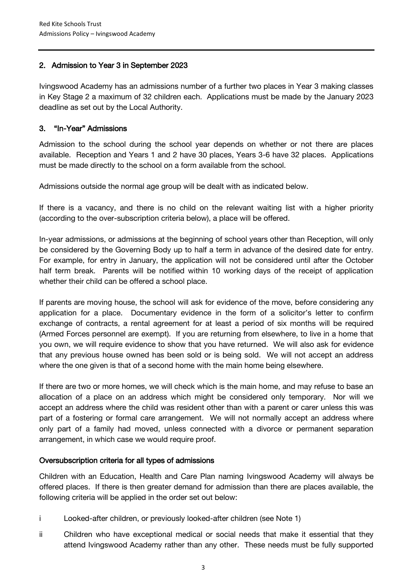## 2. Admission to Year 3 in September 2023

Ivingswood Academy has an admissions number of a further two places in Year 3 making classes in Key Stage 2 a maximum of 32 children each. Applications must be made by the January 2023 deadline as set out by the Local Authority.

### 3. "In-Year" Admissions

Admission to the school during the school year depends on whether or not there are places available. Reception and Years 1 and 2 have 30 places, Years 3-6 have 32 places. Applications must be made directly to the school on a form available from the school.

Admissions outside the normal age group will be dealt with as indicated below.

If there is a vacancy, and there is no child on the relevant waiting list with a higher priority (according to the over-subscription criteria below), a place will be offered.

In-year admissions, or admissions at the beginning of school years other than Reception, will only be considered by the Governing Body up to half a term in advance of the desired date for entry. For example, for entry in January, the application will not be considered until after the October half term break. Parents will be notified within 10 working days of the receipt of application whether their child can be offered a school place.

If parents are moving house, the school will ask for evidence of the move, before considering any application for a place. Documentary evidence in the form of a solicitor's letter to confirm exchange of contracts, a rental agreement for at least a period of six months will be required (Armed Forces personnel are exempt). If you are returning from elsewhere, to live in a home that you own, we will require evidence to show that you have returned. We will also ask for evidence that any previous house owned has been sold or is being sold. We will not accept an address where the one given is that of a second home with the main home being elsewhere.

If there are two or more homes, we will check which is the main home, and may refuse to base an allocation of a place on an address which might be considered only temporary. Nor will we accept an address where the child was resident other than with a parent or carer unless this was part of a fostering or formal care arrangement. We will not normally accept an address where only part of a family had moved, unless connected with a divorce or permanent separation arrangement, in which case we would require proof.

## Oversubscription criteria for all types of admissions

Children with an Education, Health and Care Plan naming Ivingswood Academy will always be offered places. If there is then greater demand for admission than there are places available, the following criteria will be applied in the order set out below:

- i Looked-after children, or previously looked-after children (see Note 1)
- ii Children who have exceptional medical or social needs that make it essential that they attend Ivingswood Academy rather than any other. These needs must be fully supported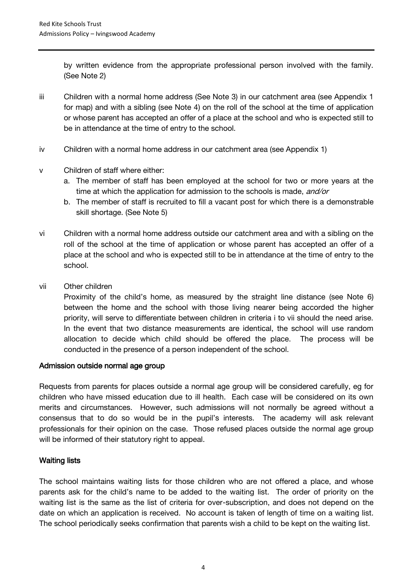by written evidence from the appropriate professional person involved with the family. (See Note 2)

- iii Children with a normal home address (See Note 3) in our catchment area (see Appendix 1 for map) and with a sibling (see Note 4) on the roll of the school at the time of application or whose parent has accepted an offer of a place at the school and who is expected still to be in attendance at the time of entry to the school.
- iv Children with a normal home address in our catchment area (see Appendix 1)
- v Children of staff where either:
	- a. The member of staff has been employed at the school for two or more years at the time at which the application for admission to the schools is made, and/or
	- b. The member of staff is recruited to fill a vacant post for which there is a demonstrable skill shortage. (See Note 5)
- vi Children with a normal home address outside our catchment area and with a sibling on the roll of the school at the time of application or whose parent has accepted an offer of a place at the school and who is expected still to be in attendance at the time of entry to the school.
- vii Other children

Proximity of the child's home, as measured by the straight line distance (see Note 6) between the home and the school with those living nearer being accorded the higher priority, will serve to differentiate between children in criteria i to vii should the need arise. In the event that two distance measurements are identical, the school will use random allocation to decide which child should be offered the place. The process will be conducted in the presence of a person independent of the school.

## Admission outside normal age group

Requests from parents for places outside a normal age group will be considered carefully, eg for children who have missed education due to ill health. Each case will be considered on its own merits and circumstances. However, such admissions will not normally be agreed without a consensus that to do so would be in the pupil's interests. The academy will ask relevant professionals for their opinion on the case. Those refused places outside the normal age group will be informed of their statutory right to appeal.

## Waiting lists

The school maintains waiting lists for those children who are not offered a place, and whose parents ask for the child's name to be added to the waiting list. The order of priority on the waiting list is the same as the list of criteria for over-subscription, and does not depend on the date on which an application is received. No account is taken of length of time on a waiting list. The school periodically seeks confirmation that parents wish a child to be kept on the waiting list.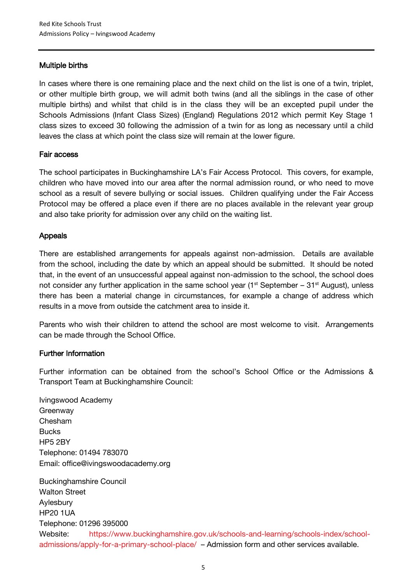## Multiple births

In cases where there is one remaining place and the next child on the list is one of a twin, triplet, or other multiple birth group, we will admit both twins (and all the siblings in the case of other multiple births) and whilst that child is in the class they will be an excepted pupil under the Schools Admissions (Infant Class Sizes) (England) Regulations 2012 which permit Key Stage 1 class sizes to exceed 30 following the admission of a twin for as long as necessary until a child leaves the class at which point the class size will remain at the lower figure.

## Fair access

The school participates in Buckinghamshire LA's Fair Access Protocol. This covers, for example, children who have moved into our area after the normal admission round, or who need to move school as a result of severe bullying or social issues. Children qualifying under the Fair Access Protocol may be offered a place even if there are no places available in the relevant year group and also take priority for admission over any child on the waiting list.

## Appeals

There are established arrangements for appeals against non-admission. Details are available from the school, including the date by which an appeal should be submitted. It should be noted that, in the event of an unsuccessful appeal against non-admission to the school, the school does not consider any further application in the same school year  $(1<sup>st</sup> September - 31<sup>st</sup> August)$ , unless there has been a material change in circumstances, for example a change of address which results in a move from outside the catchment area to inside it.

Parents who wish their children to attend the school are most welcome to visit. Arrangements can be made through the School Office.

## Further Information

Further information can be obtained from the school's School Office or the Admissions & Transport Team at Buckinghamshire Council:

Ivingswood Academy **Greenway** Chesham **Bucks** HP5 2BY Telephone: 01494 783070 Email: office@ivingswoodacademy.org

Buckinghamshire Council Walton Street Aylesbury HP20 1UA Telephone: 01296 395000 Website: [https://www.buckinghamshire.gov.uk/schools-and-learning/schools-index/school](https://www.buckinghamshire.gov.uk/schools-and-learning/schools-index/school-admissions/apply-for-a-primary-school-place/)[admissions/apply-for-a-primary-school-place/](https://www.buckinghamshire.gov.uk/schools-and-learning/schools-index/school-admissions/apply-for-a-primary-school-place/) – Admission form and other services available.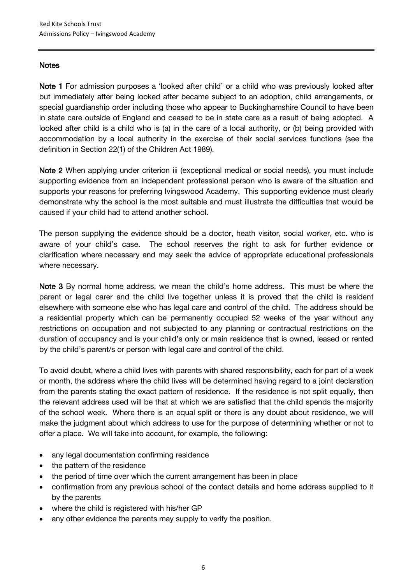#### **Notes**

Note 1 For admission purposes a 'looked after child' or a child who was previously looked after but immediately after being looked after became subject to an adoption, child arrangements, or special guardianship order including those who appear to Buckinghamshire Council to have been in state care outside of England and ceased to be in state care as a result of being adopted. A looked after child is a child who is (a) in the care of a local authority, or (b) being provided with accommodation by a local authority in the exercise of their social services functions (see the definition in Section 22(1) of the Children Act 1989).

Note 2 When applying under criterion iii (exceptional medical or social needs), you must include supporting evidence from an independent professional person who is aware of the situation and supports your reasons for preferring Ivingswood Academy. This supporting evidence must clearly demonstrate why the school is the most suitable and must illustrate the difficulties that would be caused if your child had to attend another school.

The person supplying the evidence should be a doctor, heath visitor, social worker, etc. who is aware of your child's case. The school reserves the right to ask for further evidence or clarification where necessary and may seek the advice of appropriate educational professionals where necessary.

Note 3 By normal home address, we mean the child's home address. This must be where the parent or legal carer and the child live together unless it is proved that the child is resident elsewhere with someone else who has legal care and control of the child. The address should be a residential property which can be permanently occupied 52 weeks of the year without any restrictions on occupation and not subjected to any planning or contractual restrictions on the duration of occupancy and is your child's only or main residence that is owned, leased or rented by the child's parent/s or person with legal care and control of the child.

To avoid doubt, where a child lives with parents with shared responsibility, each for part of a week or month, the address where the child lives will be determined having regard to a joint declaration from the parents stating the exact pattern of residence. If the residence is not split equally, then the relevant address used will be that at which we are satisfied that the child spends the majority of the school week. Where there is an equal split or there is any doubt about residence, we will make the judgment about which address to use for the purpose of determining whether or not to offer a place. We will take into account, for example, the following:

- any legal documentation confirming residence
- the pattern of the residence
- the period of time over which the current arrangement has been in place
- confirmation from any previous school of the contact details and home address supplied to it by the parents
- where the child is registered with his/her GP
- any other evidence the parents may supply to verify the position.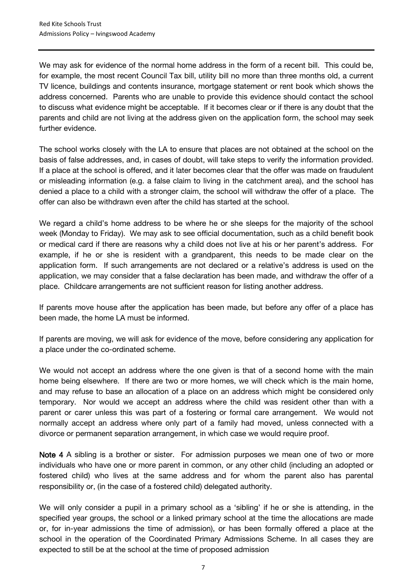We may ask for evidence of the normal home address in the form of a recent bill. This could be, for example, the most recent Council Tax bill, utility bill no more than three months old, a current TV licence, buildings and contents insurance, mortgage statement or rent book which shows the address concerned. Parents who are unable to provide this evidence should contact the school to discuss what evidence might be acceptable. If it becomes clear or if there is any doubt that the parents and child are not living at the address given on the application form, the school may seek further evidence.

The school works closely with the LA to ensure that places are not obtained at the school on the basis of false addresses, and, in cases of doubt, will take steps to verify the information provided. If a place at the school is offered, and it later becomes clear that the offer was made on fraudulent or misleading information (e.g. a false claim to living in the catchment area), and the school has denied a place to a child with a stronger claim, the school will withdraw the offer of a place. The offer can also be withdrawn even after the child has started at the school.

We regard a child's home address to be where he or she sleeps for the majority of the school week (Monday to Friday). We may ask to see official documentation, such as a child benefit book or medical card if there are reasons why a child does not live at his or her parent's address. For example, if he or she is resident with a grandparent, this needs to be made clear on the application form. If such arrangements are not declared or a relative's address is used on the application, we may consider that a false declaration has been made, and withdraw the offer of a place. Childcare arrangements are not sufficient reason for listing another address.

If parents move house after the application has been made, but before any offer of a place has been made, the home LA must be informed.

If parents are moving, we will ask for evidence of the move, before considering any application for a place under the co-ordinated scheme.

We would not accept an address where the one given is that of a second home with the main home being elsewhere. If there are two or more homes, we will check which is the main home, and may refuse to base an allocation of a place on an address which might be considered only temporary. Nor would we accept an address where the child was resident other than with a parent or carer unless this was part of a fostering or formal care arrangement. We would not normally accept an address where only part of a family had moved, unless connected with a divorce or permanent separation arrangement, in which case we would require proof.

Note 4 A sibling is a brother or sister. For admission purposes we mean one of two or more individuals who have one or more parent in common, or any other child (including an adopted or fostered child) who lives at the same address and for whom the parent also has parental responsibility or, (in the case of a fostered child) delegated authority.

We will only consider a pupil in a primary school as a 'sibling' if he or she is attending, in the specified year groups, the school or a linked primary school at the time the allocations are made or, for in-year admissions the time of admission), or has been formally offered a place at the school in the operation of the Coordinated Primary Admissions Scheme. In all cases they are expected to still be at the school at the time of proposed admission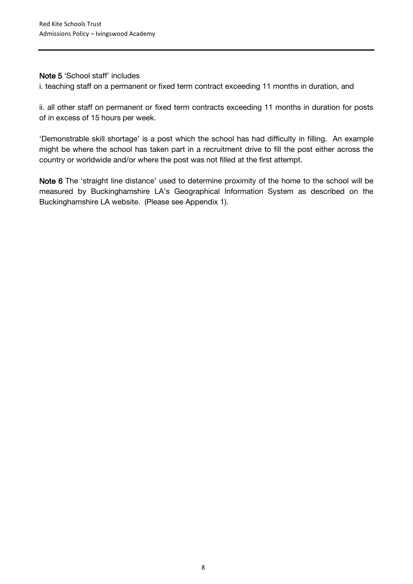#### Note 5 'School staff' includes

i. teaching staff on a permanent or fixed term contract exceeding 11 months in duration, and

ii. all other staff on permanent or fixed term contracts exceeding 11 months in duration for posts of in excess of 15 hours per week.

'Demonstrable skill shortage' is a post which the school has had difficulty in filling. An example might be where the school has taken part in a recruitment drive to fill the post either across the country or worldwide and/or where the post was not filled at the first attempt.

Note 6 The 'straight line distance' used to determine proximity of the home to the school will be measured by Buckinghamshire LA's Geographical Information System as described on the Buckinghamshire LA website. (Please see Appendix 1).